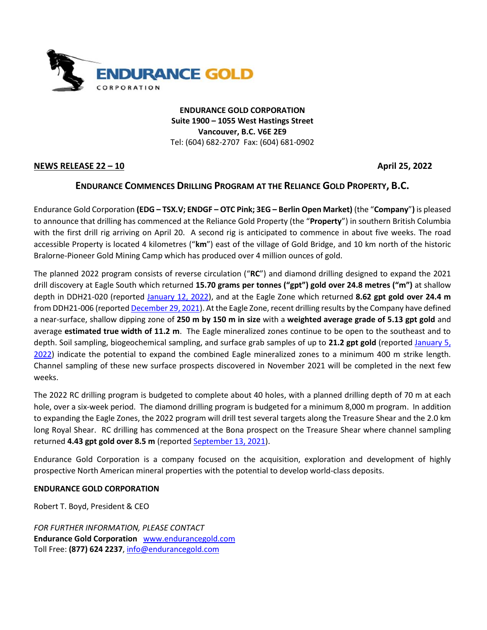

**ENDURANCE GOLD CORPORATION Suite 1900 – 1055 West Hastings Street Vancouver, B.C. V6E 2E9** Tel: (604) 682-2707 Fax: (604) 681-0902

## **NEWS RELEASE 22 – 10 April 25, 2022**

## **ENDURANCE COMMENCES DRILLING PROGRAM AT THE RELIANCE GOLD PROPERTY, B.C.**

Endurance Gold Corporation **(EDG – TSX.V; ENDGF – OTC Pink; 3EG – Berlin Open Market)** (the "**Company**"**)** is pleased to announce that drilling has commenced at the Reliance Gold Property (the "**Property**") in southern British Columbia with the first drill rig arriving on April 20. A second rig is anticipated to commence in about five weeks. The road accessible Property is located 4 kilometres ("**km**") east of the village of Gold Bridge, and 10 km north of the historic Bralorne-Pioneer Gold Mining Camp which has produced over 4 million ounces of gold.

The planned 2022 program consists of reverse circulation ("**RC**") and diamond drilling designed to expand the 2021 drill discovery at Eagle South which returned **15.70 grams per tonnes ("gpt") gold over 24.8 metres ("m")** at shallow depth in DDH21-020 (reported [January 12, 2022\)](https://endurancegold.com/news-releases/endurance-reports-new-drill-discovery-of-15.7-gpt-gold-over-24.8-metres-including-29.96-gpt-gold-over-4.1-m-on-the-reliance/), and at the Eagle Zone which returned **8.62 gpt gold over 24.4 m** from DDH21-006 (reporte[d December 29, 2021\)](https://endurancegold.com/news-releases/endurance-expands-the-eagle-zone-with-8.62-gpt-gold-over-24.4-metres/). At the Eagle Zone, recent drilling results by the Company have defined a near-surface, shallow dipping zone of **250 m by 150 m in size** with a **weighted average grade of 5.13 gpt gold** and average **estimated true width of 11.2 m**. The Eagle mineralized zones continue to be open to the southeast and to depth. Soil sampling, biogeochemical sampling, and surface grab samples of up to **21.2 gpt gold** (reported [January 5,](https://endurancegold.com/news-releases/endurance-reports-surface-samples-between-7.01-gpt-21.2-gpt-gold-from-eagle-south-doubling-the-surface-extent-of-the-eagle-zone/)  [2022\)](https://endurancegold.com/news-releases/endurance-reports-surface-samples-between-7.01-gpt-21.2-gpt-gold-from-eagle-south-doubling-the-surface-extent-of-the-eagle-zone/) indicate the potential to expand the combined Eagle mineralized zones to a minimum 400 m strike length. Channel sampling of these new surface prospects discovered in November 2021 will be completed in the next few weeks.

The 2022 RC drilling program is budgeted to complete about 40 holes, with a planned drilling depth of 70 m at each hole, over a six-week period. The diamond drilling program is budgeted for a minimum 8,000 m program. In addition to expanding the Eagle Zones, the 2022 program will drill test several targets along the Treasure Shear and the 2.0 km long Royal Shear. RC drilling has commenced at the Bona prospect on the Treasure Shear where channel sampling returned **4.43 gpt gold over 8.5 m** (reported [September 13, 2021\)](https://endurancegold.com/news-releases/endurance-reports-channel-sampling-results-and-diamond-drilling-progress-at-the-reliance-property/).

Endurance Gold Corporation is a company focused on the acquisition, exploration and development of highly prospective North American mineral properties with the potential to develop world-class deposits.

## **ENDURANCE GOLD CORPORATION**

Robert T. Boyd, President & CEO

*FOR FURTHER INFORMATION, PLEASE CONTACT* **Endurance Gold Corporation** [www.endurancegold.com](http://www.endurancegold.com/) Toll Free: **(877) 624 2237**, [info@endurancegold.com](mailto:info@endurancegold.com)